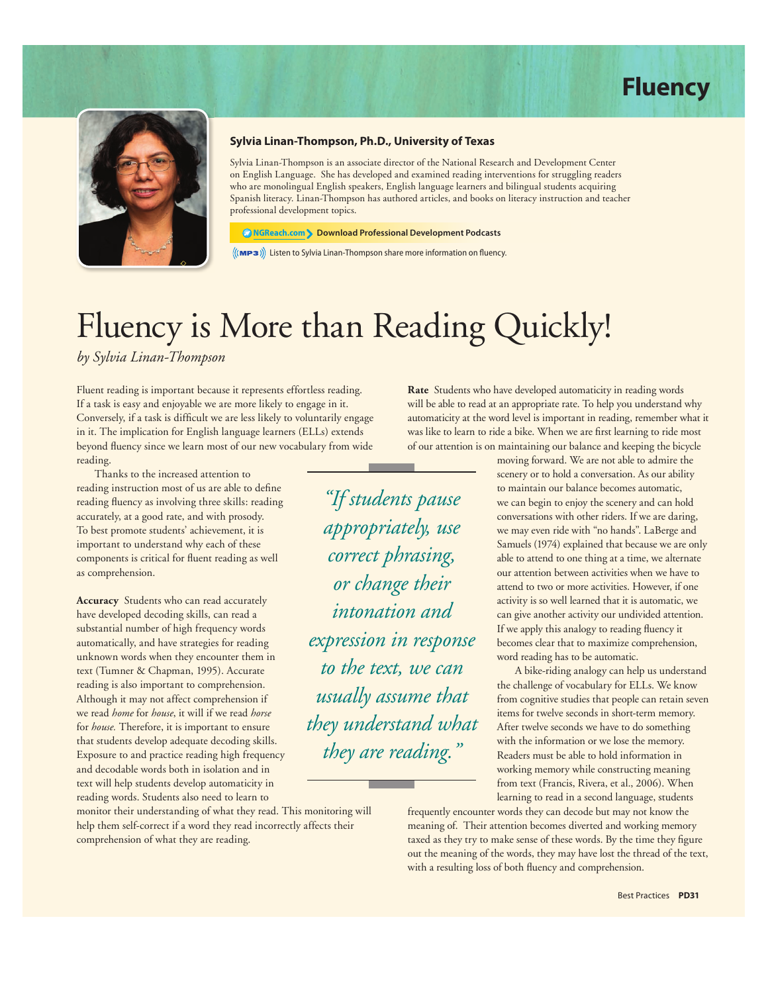



#### **Sylvia Linan-Thompson, Ph.D., University of Texas**

Sylvia Linan-Thompson is an associate director of the National Research and Development Center on English Language. She has developed and examined reading interventions for struggling readers who are monolingual English speakers, English language learners and bilingual students acquiring Spanish literacy. Linan-Thompson has authored articles, and books on literacy instruction and teacher professional development topics.

**NGReach.com Download Professional Development Podcasts**

 $\langle$ ((MP3)) Listen to Sylvia Linan-Thompson share more information on fluency.

*"If students pause* 

*appropriately, use* 

*correct phrasing,* 

*or change their* 

*intonation and* 

*expression in response* 

*to the text, we can* 

*usually assume that* 

*they understand what* 

*they are reading."*

# Fluency is More than Reading Quickly!

*by Sylvia Linan-Thompson*

Fluent reading is important because it represents effortless reading. If a task is easy and enjoyable we are more likely to engage in it. Conversely, if a task is difficult we are less likely to voluntarily engage in it. The implication for English language learners (ELLs) extends beyond fluency since we learn most of our new vocabulary from wide reading.

Thanks to the increased attention to reading instruction most of us are able to define reading fluency as involving three skills: reading accurately, at a good rate, and with prosody. To best promote students' achievement, it is important to understand why each of these components is critical for fluent reading as well as comprehension.

**Accuracy** Students who can read accurately have developed decoding skills, can read a substantial number of high frequency words automatically, and have strategies for reading unknown words when they encounter them in text (Tumner & Chapman, 1995). Accurate reading is also important to comprehension. Although it may not affect comprehension if we read *home* for *house*, it will if we read *horse* for *house.* Therefore, it is important to ensure that students develop adequate decoding skills. Exposure to and practice reading high frequency and decodable words both in isolation and in text will help students develop automaticity in reading words. Students also need to learn to

monitor their understanding of what they read. This monitoring will help them self-correct if a word they read incorrectly affects their comprehension of what they are reading.

**Rate** Students who have developed automaticity in reading words will be able to read at an appropriate rate. To help you understand why automaticity at the word level is important in reading, remember what it was like to learn to ride a bike. When we are first learning to ride most of our attention is on maintaining our balance and keeping the bicycle

> moving forward. We are not able to admire the scenery or to hold a conversation. As our ability to maintain our balance becomes automatic, we can begin to enjoy the scenery and can hold conversations with other riders. If we are daring, we may even ride with "no hands". LaBerge and Samuels (1974) explained that because we are only able to attend to one thing at a time, we alternate our attention between activities when we have to attend to two or more activities. However, if one activity is so well learned that it is automatic, we can give another activity our undivided attention. If we apply this analogy to reading fluency it becomes clear that to maximize comprehension, word reading has to be automatic.

> A bike-riding analogy can help us understand the challenge of vocabulary for ELLs. We know from cognitive studies that people can retain seven items for twelve seconds in short-term memory. After twelve seconds we have to do something with the information or we lose the memory. Readers must be able to hold information in working memory while constructing meaning from text (Francis, Rivera, et al., 2006). When learning to read in a second language, students

frequently encounter words they can decode but may not know the meaning of. Their attention becomes diverted and working memory taxed as they try to make sense of these words. By the time they figure out the meaning of the words, they may have lost the thread of the text, with a resulting loss of both fluency and comprehension.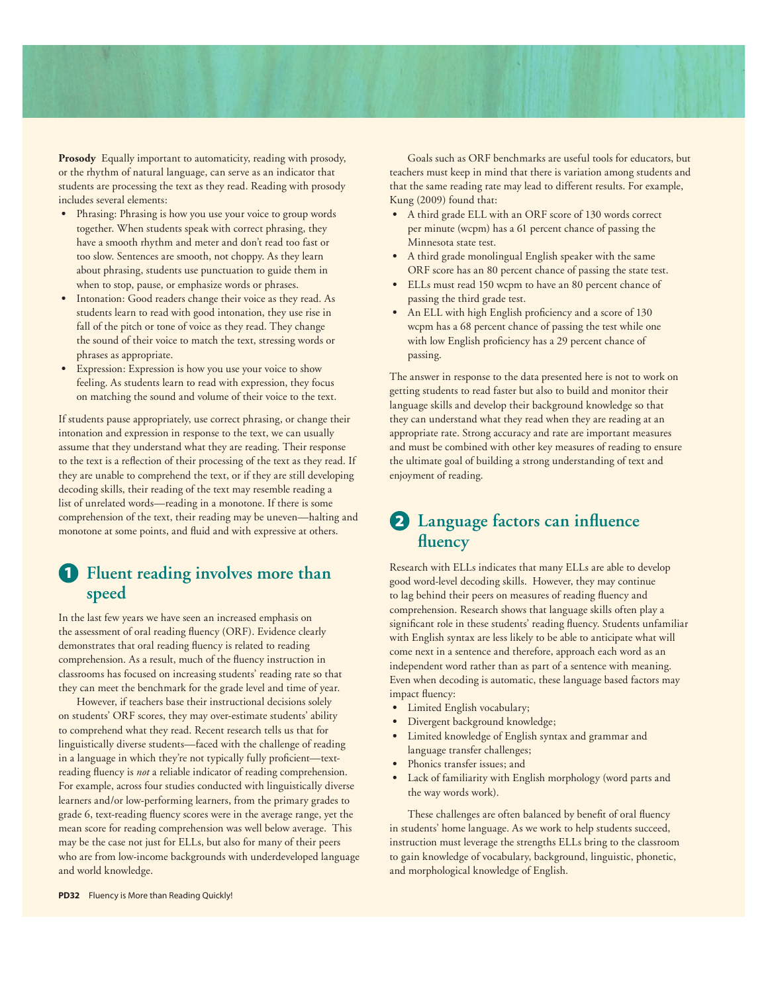**Prosody** Equally important to automaticity, reading with prosody, or the rhythm of natural language, can serve as an indicator that students are processing the text as they read. Reading with prosody includes several elements:

- **s** Phrasing: Phrasing is how you use your voice to group words together. When students speak with correct phrasing, they have a smooth rhythm and meter and don't read too fast or too slow. Sentences are smooth, not choppy. As they learn about phrasing, students use punctuation to guide them in when to stop, pause, or emphasize words or phrases.
- **s** Intonation: Good readers change their voice as they read. As students learn to read with good intonation, they use rise in fall of the pitch or tone of voice as they read. They change the sound of their voice to match the text, stressing words or phrases as appropriate.
- Expression: Expression is how you use your voice to show feeling. As students learn to read with expression, they focus on matching the sound and volume of their voice to the text.

If students pause appropriately, use correct phrasing, or change their intonation and expression in response to the text, we can usually assume that they understand what they are reading. Their response to the text is a reflection of their processing of the text as they read. If they are unable to comprehend the text, or if they are still developing decoding skills, their reading of the text may resemble reading a list of unrelated words—reading in a monotone. If there is some comprehension of the text, their reading may be uneven—halting and monotone at some points, and fluid and with expressive at others.

### **1 Fluent reading involves more than speed**

In the last few years we have seen an increased emphasis on the assessment of oral reading fluency (ORF). Evidence clearly demonstrates that oral reading fluency is related to reading comprehension. As a result, much of the fluency instruction in classrooms has focused on increasing students' reading rate so that they can meet the benchmark for the grade level and time of year.

However, if teachers base their instructional decisions solely on students' ORF scores, they may over-estimate students' ability to comprehend what they read. Recent research tells us that for linguistically diverse students—faced with the challenge of reading in a language in which they're not typically fully proficient—textreading fluency is *not* a reliable indicator of reading comprehension. For example, across four studies conducted with linguistically diverse learners and/or low-performing learners, from the primary grades to grade 6, text-reading fluency scores were in the average range, yet the mean score for reading comprehension was well below average. This may be the case not just for ELLs, but also for many of their peers who are from low-income backgrounds with underdeveloped language and world knowledge.

Goals such as ORF benchmarks are useful tools for educators, but teachers must keep in mind that there is variation among students and that the same reading rate may lead to different results. For example, Kung (2009) found that:

- **s** A third grade ELL with an ORF score of 130 words correct per minute (wcpm) has a 61 percent chance of passing the Minnesota state test.
- **s** A third grade monolingual English speaker with the same ORF score has an 80 percent chance of passing the state test.
- **s** ELLs must read 150 wcpm to have an 80 percent chance of passing the third grade test.
- **s** An ELL with high English proficiency and a score of 130 wcpm has a 68 percent chance of passing the test while one with low English proficiency has a 29 percent chance of passing.

The answer in response to the data presented here is not to work on getting students to read faster but also to build and monitor their language skills and develop their background knowledge so that they can understand what they read when they are reading at an appropriate rate. Strong accuracy and rate are important measures and must be combined with other key measures of reading to ensure the ultimate goal of building a strong understanding of text and enjoyment of reading.

### **2 Language factors can influence fluency**

Research with ELLs indicates that many ELLs are able to develop good word-level decoding skills. However, they may continue to lag behind their peers on measures of reading fluency and comprehension. Research shows that language skills often play a significant role in these students' reading fluency. Students unfamiliar with English syntax are less likely to be able to anticipate what will come next in a sentence and therefore, approach each word as an independent word rather than as part of a sentence with meaning. Even when decoding is automatic, these language based factors may impact fluency:

- **s** Limited English vocabulary;
- **s** Divergent background knowledge;
- **s** Limited knowledge of English syntax and grammar and language transfer challenges;
- Phonics transfer issues; and
- **s** Lack of familiarity with English morphology (word parts and the way words work).

These challenges are often balanced by benefit of oral fluency in students' home language. As we work to help students succeed, instruction must leverage the strengths ELLs bring to the classroom to gain knowledge of vocabulary, background, linguistic, phonetic, and morphological knowledge of English.